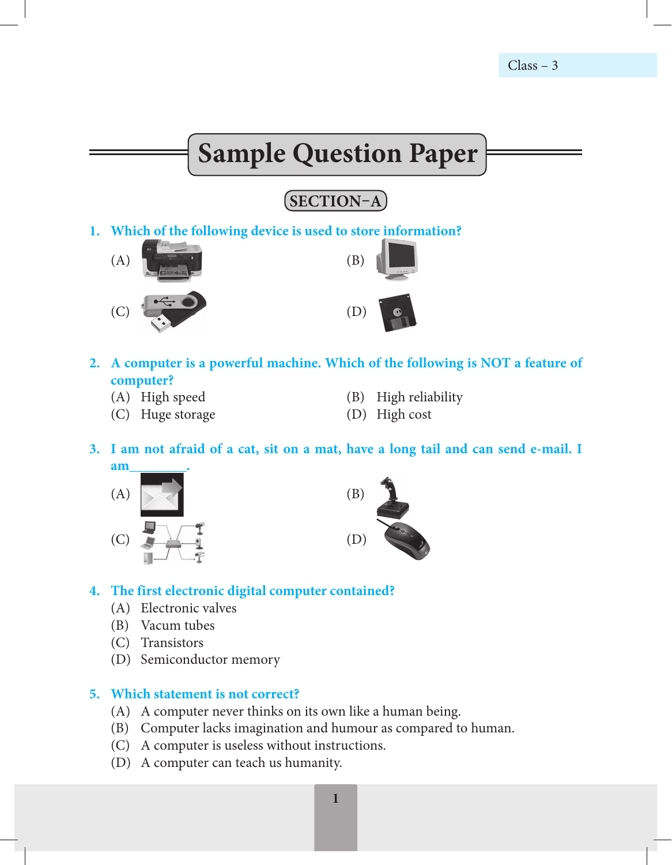# **Sample Question Paper**

# **SECTION–A**

**1. Which of the following device is used to store information?**





- **2. A computer is a powerful machine. Which of the following is NOT a feature of computer?**
	-
	- (C) Huge storage (D) High cost
	- (A) High speed (B) High reliability
		-
- **3. I am not afraid of a cat, sit on a mat, have a long tail and can send e-mail. I**





## **4. The first electronic digital computer contained?**

- (A) Electronic valves
- (B) Vacum tubes
- (C) Transistors
- (D) Semiconductor memory

## **5. Which statement is not correct?**

- (A) A computer never thinks on its own like a human being.
- (B) Computer lacks imagination and humour as compared to human.
- (C) A computer is useless without instructions.
- (D) A computer can teach us humanity.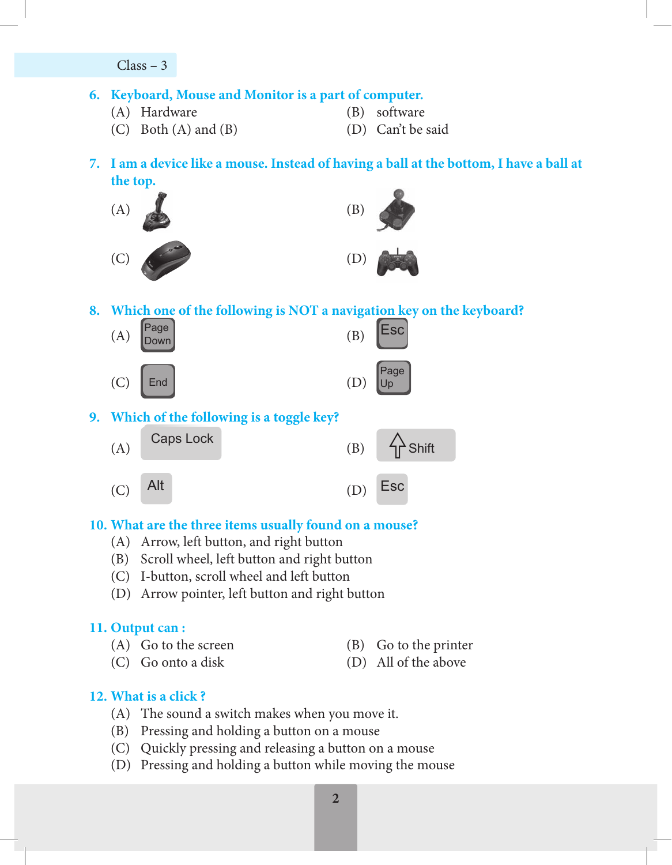#### **6. Keyboard, Mouse and Monitor is a part of computer.**

- (A) Hardware (B) software
- (C) Both  $(A)$  and  $(B)$  (D) Can't be said
- 
- 
- **7. I am a device like a mouse. Instead of having a ball at the bottom, I have a ball at the top.**



**8. Which one of the following is NOT a navigation key on the keyboard?**



## **9. Which of the following is a toggle key?**



## **10. What are the three items usually found on a mouse?**

- (A) Arrow, left button, and right button
- (B) Scroll wheel, left button and right button
- (C) I-button, scroll wheel and left button
- (D) Arrow pointer, left button and right button

## **11. Output can :**

- (A) Go to the screen (B) Go to the printer
- 
- (C) Go onto a disk (D) All of the above

## **12. What is a click ?**

- (A) The sound a switch makes when you move it.
- (B) Pressing and holding a button on a mouse
- (C) Quickly pressing and releasing a button on a mouse
- (D) Pressing and holding a button while moving the mouse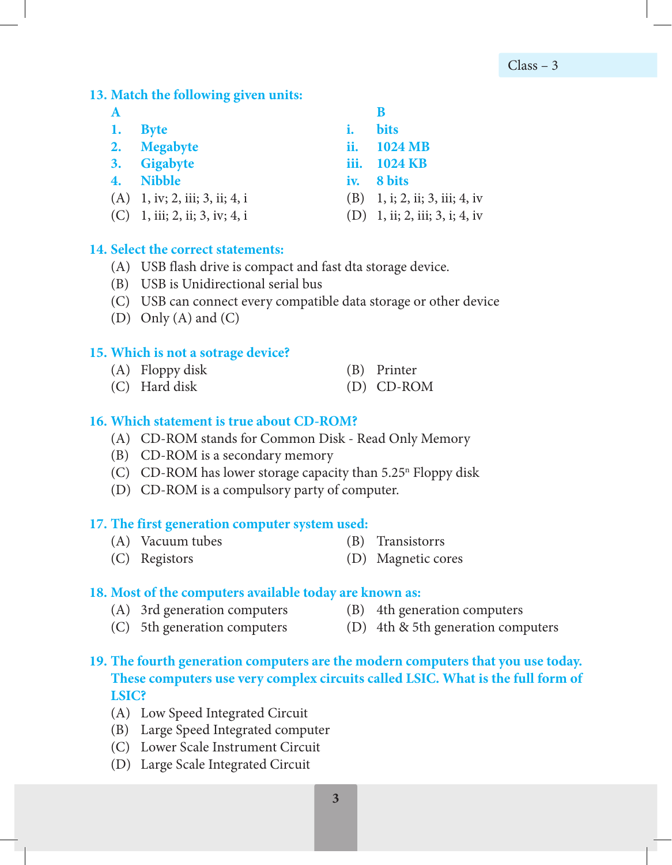## **13. Match the following given units:**

| $\mathbf{A}$ |                                  |     |                                |
|--------------|----------------------------------|-----|--------------------------------|
| 1.           | <b>Byte</b>                      | i.  | <b>bits</b>                    |
|              | 2. Megabyte                      | ii. | 1024 MB                        |
|              | 3. Gigabyte                      |     | iii. 1024 KB                   |
|              | 4. Nibble                        | iv. | 8 bits                         |
|              | $(A)$ 1, iv; 2, iii; 3, ii; 4, i |     | (B) 1, i; 2, ii; 3, iii; 4, iv |
|              | (C) 1, iii; 2, ii; 3, iv; 4, i   |     | (D) 1, ii; 2, iii; 3, i; 4, iv |
|              |                                  |     |                                |

# **14. Select the correct statements:**

- (A) USB flash drive is compact and fast dta storage device.
- (B) USB is Unidirectional serial bus
- (C) USB can connect every compatible data storage or other device
- (D) Only (A) and (C)

# **15. Which is not a sotrage device?**

- (A) Floppy disk (B) Printer
- (C) Hard disk (D) CD-ROM

## **16. Which statement is true about CD-ROM?**

- (A) CD-ROM stands for Common Disk Read Only Memory
- (B) CD-ROM is a secondary memory
- (C) CD-ROM has lower storage capacity than 5.25<sup>n</sup> Floppy disk
- (D) CD-ROM is a compulsory party of computer.

# **17. The first generation computer system used:**

- (A) Vacuum tubes (B) Transistorrs
- 
- (C) Registors (D) Magnetic cores
- **18. Most of the computers available today are known as:**
	- (A) 3rd generation computers (B) 4th generation computers
- - (C) 5th generation computers (D) 4th & 5th generation computers
- **19. The fourth generation computers are the modern computers that you use today. These computers use very complex circuits called LSIC. What is the full form of LSIC?** 
	- (A) Low Speed Integrated Circuit
	- (B) Large Speed Integrated computer
	- (C) Lower Scale Instrument Circuit
	- (D) Large Scale Integrated Circuit

**2 3**

- 
-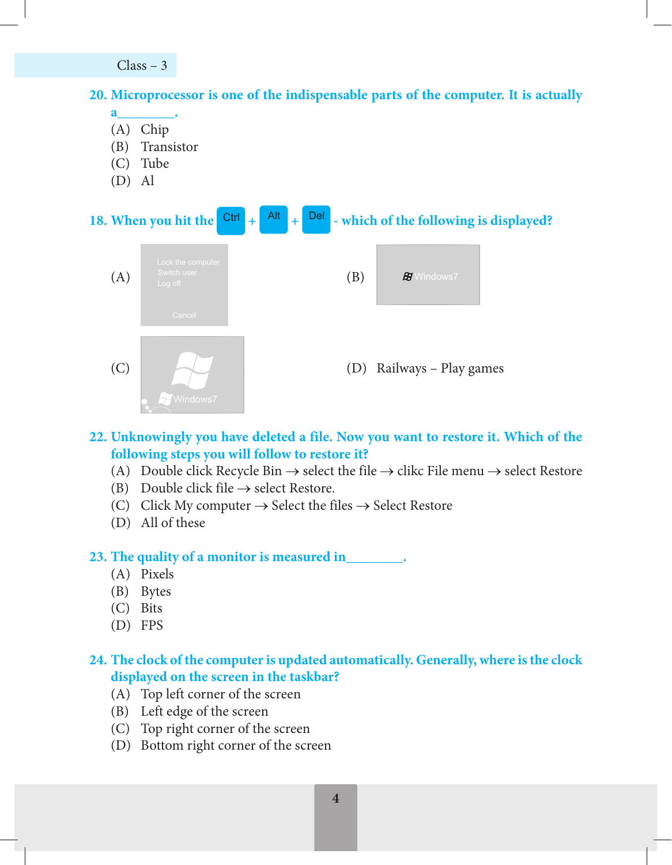**20. Microprocessor is one of the indispensable parts of the computer. It is actually** 

- **a\_\_\_\_\_\_\_\_.**  (A) Chip
- 
- (B) Transistor
- (C) Tube
- (D) Al



- **22. Unknowingly you have deleted a file. Now you want to restore it. Which of the following steps you will follow to restore it?** 
	- (A) Double click Recycle Bin  $\rightarrow$  select the file  $\rightarrow$  clikc File menu  $\rightarrow$  select Restore
	- (B) Double click file  $\rightarrow$  select Restore.
	- (C) Click My computer  $\rightarrow$  Select the files  $\rightarrow$  Select Restore
	- (D) All of these

#### **23. The quality of a monitor is measured in\_\_\_\_\_\_\_\_.**

- (A) Pixels
- (B) Bytes
- (C) Bits
- (D) FPS

## **24. The clock of the computer is updated automatically. Generally, where is the clock displayed on the screen in the taskbar?**

- (A) Top left corner of the screen
- (B) Left edge of the screen
- (C) Top right corner of the screen
- (D) Bottom right corner of the screen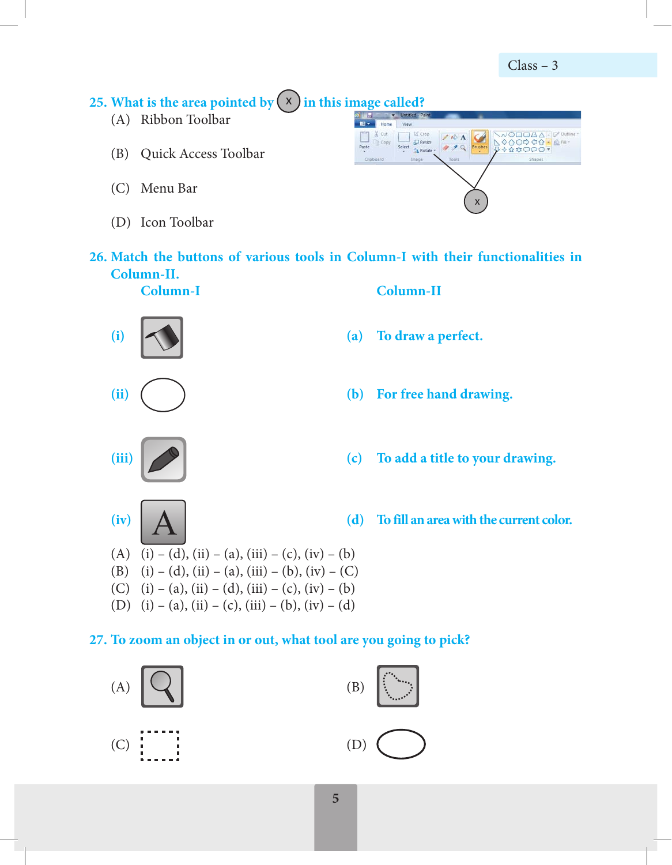

**26. Match the buttons of various tools in Column-I with their functionalities in Column-II.** 

#### **Column-I Column-II**





- **(ii) (b) For free hand drawing.**
- **(iii) (c) To add a title to your drawing.**
- **(iv)** A **(d) To fill an area with the current color.**
- (A) (i) (d), (ii) (a), (iii) (c), (iv) (b)
- (B) (i) (d), (ii) (a), (iii) (b), (iv) (C)
- (C) (i) (a), (ii) (d), (iii) (c), (iv) (b)
- (D) (i) (a), (ii) (c), (iii) (b), (iv) (d)

#### **27. To zoom an object in or out, what tool are you going to pick?**

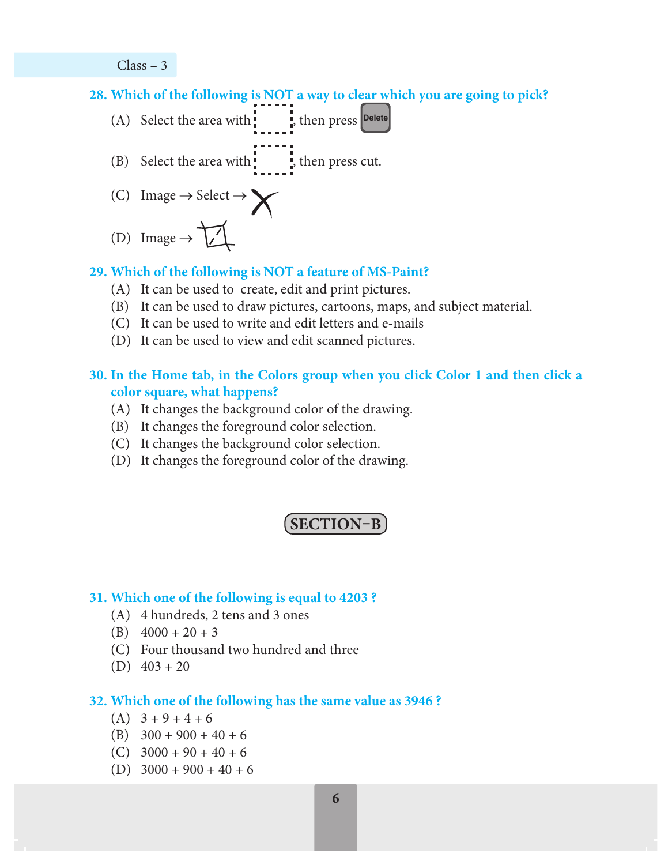#### **28. Which of the following is NOT a way to clear which you are going to pick?**

- (A) Select the area with , then press **Delete**
- (B) Select the area with  $\frac{1}{2}$  then press cut.
- (C) Image  $\rightarrow$  Select  $\rightarrow \times$ (D) Image  $\rightarrow \Box$

#### **29. Which of the following is NOT a feature of MS-Paint?**

- (A) It can be used to create, edit and print pictures.
- (B) It can be used to draw pictures, cartoons, maps, and subject material.
- (C) It can be used to write and edit letters and e-mails
- (D) It can be used to view and edit scanned pictures.

#### **30. In the Home tab, in the Colors group when you click Color 1 and then click a color square, what happens?**

- (A) It changes the background color of the drawing.
- (B) It changes the foreground color selection.
- (C) It changes the background color selection.
- (D) It changes the foreground color of the drawing.

# **SECTION–B**

#### **31. Which one of the following is equal to 4203 ?**

- (A) 4 hundreds, 2 tens and 3 ones
- $(B)$  4000 + 20 + 3
- (C) Four thousand two hundred and three
- $(D)$  403 + 20

#### **32. Which one of the following has the same value as 3946 ?**

- $(A)$  3 + 9 + 4 + 6
- $(B)$  300 + 900 + 40 + 6
- $(C)$  3000 + 90 + 40 + 6
- $(D)$  3000 + 900 + 40 + 6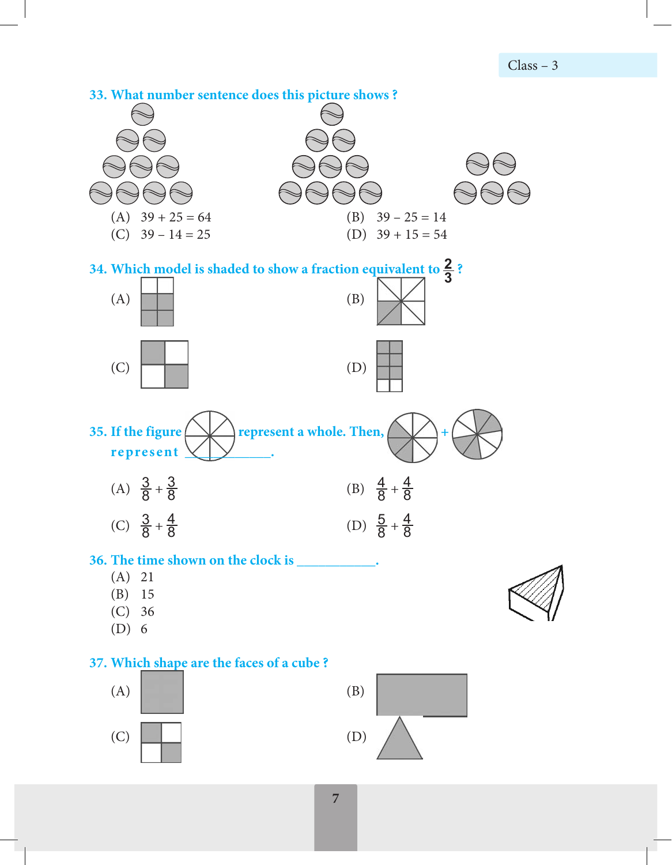

## **37. Which shape are the faces of a cube ?**